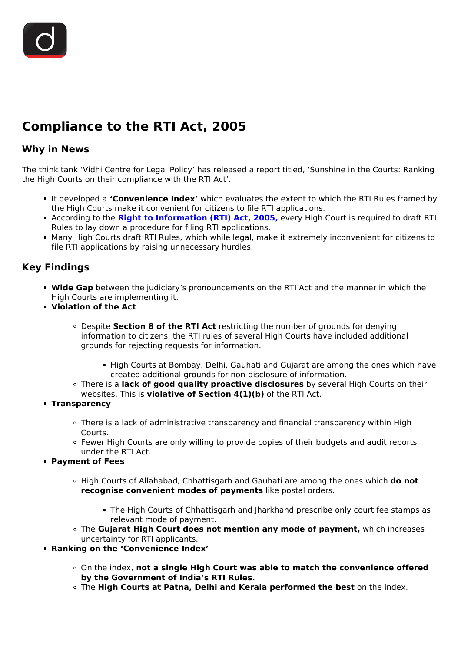# **Compliance to the RTI Act, 2005**

### **Why in News**

The think tank 'Vidhi Centre for Legal Policy' has released a report titled, 'Sunshine in the Courts: Ranking the High Courts on their compliance with the RTI Act'.

- It developed a **'Convenience Index'** which evaluates the extent to which the RTI Rules framed by the High Courts make it convenient for citizens to file RTI applications.
- According to the **[Right to Information \(RTI\) Act, 2005,](/to-the-points/paper4/right-to-information-1)** every High Court is required to draft RTI Rules to lay down a procedure for filing RTI applications.
- Many High Courts draft RTI Rules, which while legal, make it extremely inconvenient for citizens to file RTI applications by raising unnecessary hurdles.

## **Key Findings**

- **Wide Gap** between the judiciary's pronouncements on the RTI Act and the manner in which the High Courts are implementing it.
- **Violation of the Act**
	- Despite **Section 8 of the RTI Act** restricting the number of grounds for denying information to citizens, the RTI rules of several High Courts have included additional grounds for rejecting requests for information.
		- High Courts at Bombay, Delhi, Gauhati and Gujarat are among the ones which have created additional grounds for non-disclosure of information.
	- There is a **lack of good quality proactive disclosures** by several High Courts on their websites. This is **violative of Section 4(1)(b)** of the RTI Act.
- **Transparency**
	- There is a lack of administrative transparency and financial transparency within High Courts.
	- Fewer High Courts are only willing to provide copies of their budgets and audit reports under the RTI Act.
- **Payment of Fees**
	- High Courts of Allahabad, Chhattisgarh and Gauhati are among the ones which **do not recognise convenient modes of payments** like postal orders.
		- The High Courts of Chhattisgarh and Iharkhand prescribe only court fee stamps as relevant mode of payment.
	- The **Gujarat High Court does not mention any mode of payment,** which increases uncertainty for RTI applicants.
- **Ranking on the 'Convenience Index'**
	- On the index, **not a single High Court was able to match the convenience offered by the Government of India's RTI Rules.**
	- The **High Courts at Patna, Delhi and Kerala performed the best** on the index.